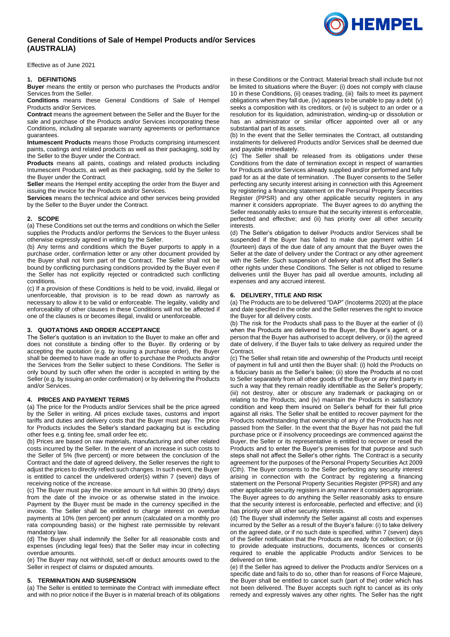# **General Conditions of Sale of Hempel Products and/or Services (AUSTRALIA)**

Effective as of June 2021

#### **1. DEFINITIONS**

**Buyer** means the entity or person who purchases the Products and/or Services from the Seller.

**Conditions** means these General Conditions of Sale of Hempel Products and/or Services.

**Contract** means the agreement between the Seller and the Buyer for the sale and purchase of the Products and/or Services incorporating these Conditions, including all separate warranty agreements or performance guarantees.

**Intumescent Products** means those Products comprising intumescent paints, coatings and related products as well as their packaging, sold by the Seller to the Buyer under the Contract.

**Products** means all paints, coatings and related products including Intumescent Products, as well as their packaging, sold by the Seller to the Buyer under the Contract.

**Seller** means the Hempel entity accepting the order from the Buyer and issuing the invoice for the Products and/or Services.

**Services** means the technical advice and other services being provided by the Seller to the Buyer under the Contract.

### **2. SCOPE**

(a) These Conditions set out the terms and conditions on which the Seller supplies the Products and/or performs the Services to the Buyer unless otherwise expressly agreed in writing by the Seller.

(b) Any terms and conditions which the Buyer purports to apply in a purchase order, confirmation letter or any other document provided by the Buyer shall not form part of the Contract. The Seller shall not be bound by conflicting purchasing conditions provided by the Buyer even if the Seller has not explicitly rejected or contradicted such conflicting conditions.

(c) If a provision of these Conditions is held to be void, invalid, illegal or unenforceable, that provision is to be read down as narrowly as necessary to allow it to be valid or enforceable. The legality, validity and enforceability of other clauses in these Conditions will not be affected if one of the clauses is or becomes illegal, invalid or unenforceable.

### **3. QUOTATIONS AND ORDER ACCEPTANCE**

The Seller's quotation is an invitation to the Buyer to make an offer and does not constitute a binding offer to the Buyer. By ordering or by accepting the quotation (e.g. by issuing a purchase order), the Buyer shall be deemed to have made an offer to purchase the Products and/or the Services from the Seller subject to these Conditions. The Seller is only bound by such offer when the order is accepted in writing by the Seller (e.g. by issuing an order confirmation) or by delivering the Products and/or Services.

#### **4. PRICES AND PAYMENT TERMS**

(a) The price for the Products and/or Services shall be the price agreed by the Seller in writing. All prices exclude taxes, customs and import tariffs and duties and delivery costs that the Buyer must pay. The price for Products includes the Seller's standard packaging but is excluding other fees e.g. tinting fee, small order fee etc.

(b) Prices are based on raw materials, manufacturing and other related costs incurred by the Seller. In the event of an increase in such costs to the Seller of 5% (five percent) or more between the conclusion of the Contract and the date of agreed delivery, the Seller reserves the right to adjust the prices to directly reflect such changes. In such event, the Buyer is entitled to cancel the undelivered order(s) within 7 (seven) days of receiving notice of the increase.

(c) The Buyer must pay the invoice amount in full within 30 (thirty) days from the date of the invoice or as otherwise stated in the invoice. Payment by the Buyer must be made in the currency specified in the invoice. The Seller shall be entitled to charge interest on overdue payments at 10% (ten percent) per annum (calculated on a monthly pro rata compounding basis) or the highest rate permissible by relevant mandatory law.

(d) The Buyer shall indemnify the Seller for all reasonable costs and expenses (including legal fees) that the Seller may incur in collecting overdue amounts.

(e) The Buyer may not withhold, set-off or deduct amounts owed to the Seller in respect of claims or disputed amounts.

## **5. TERMINATION AND SUSPENSION**

(a) The Seller is entitled to terminate the Contract with immediate effect and with no prior notice if the Buyer is in material breach of its obligations in these Conditions or the Contract. Material breach shall include but not be limited to situations where the Buyer: (i) does not comply with clause [10](#page-1-0) in these Conditions, (ii) ceases trading, (iii) fails to meet its payment obligations when they fall due, (iv) appears to be unable to pay a debt (v) seeks a composition with its creditors, or (vi) is subject to an order or a resolution for its liquidation, administration, winding-up or dissolution or has an administrator or similar officer appointed over all or any substantial part of its assets.

(b) In the event that the Seller terminates the Contract, all outstanding instalments for delivered Products and/or Services shall be deemed due and payable immediately.

(c) The Seller shall be released from its obligations under these Conditions from the date of termination except in respect of warranties for Products and/or Services already supplied and/or performed and fully paid for as at the date of termination. .The Buyer consents to the Seller perfecting any security interest arising in connection with this Agreement by registering a financing statement on the Personal Property Securities Register (PPSR) and any other applicable security registers in any manner it considers appropriate. The Buyer agrees to do anything the Seller reasonably asks to ensure that the security interest is enforceable, perfected and effective; and (ii) has priority over all other security interests.

(d) The Seller's obligation to deliver Products and/or Services shall be suspended if the Buyer has failed to make due payment within 14 (fourteen) days of the due date of any amount that the Buyer owes the Seller at the date of delivery under the Contract or any other agreement with the Seller. Such suspension of delivery shall not affect the Seller's other rights under these Conditions. The Seller is not obliged to resume deliveries until the Buyer has paid all overdue amounts, including all expenses and any accrued interest.

### **6. DELIVERY, TITLE AND RISK**

(a) The Products are to be delivered "DAP" (Incoterms 2020) at the place and date specified in the order and the Seller reserves the right to invoice the Buyer for all delivery costs.

(b) The risk for the Products shall pass to the Buyer at the earlier of (i) when the Products are delivered to the Buyer, the Buyer's agent, or a person that the Buyer has authorised to accept delivery, or (ii) the agreed date of delivery, if the Buyer fails to take delivery as required under the Contract.

(c) The Seller shall retain title and ownership of the Products until receipt of payment in full and until then the Buyer shall: (i) hold the Products on a fiduciary basis as the Seller's bailee; (ii) store the Products at no cost to Seller separately from all other goods of the Buyer or any third party in such a way that they remain readily identifiable as the Seller's property; (iii) not destroy, alter or obscure any trademark or packaging on or relating to the Products; and (iv) maintain the Products in satisfactory condition and keep them insured on Seller's behalf for their full price against all risks. The Seller shall be entitled to recover payment for the Products notwithstanding that ownership of any of the Products has not passed from the Seller. In the event that the Buyer has not paid the full purchase price or if insolvency proceedings are commenced against the Buyer, the Seller or its representative is entitled to recover or resell the Products and to enter the Buyer's premises for that purpose and such steps shall not affect the Seller's other rights. The Contract is a security agreement for the purposes of the Personal Property Securities Act 2009 (Cth). The Buyer consents to the Seller perfecting any security interest arising in connection with the Contract by registering a financing statement on the Personal Property Securities Register (PPSR) and any other applicable security registers in any manner it considers appropriate. The Buyer agrees to do anything the Seller reasonably asks to ensure that the security interest is enforceable, perfected and effective; and (ii) has priority over all other security interests.

(d) The Buyer shall indemnify the Seller against all costs and expenses incurred by the Seller as a result of the Buyer's failure: (i) to take delivery on the agreed date, or if no such date is specified, within 7 (seven) days of the Seller notification that the Products are ready for collection; or (ii) to provide adequate instructions, documents, licences or consents required to enable the applicable Products and/or Services to be delivered on time.

(e) If the Seller has agreed to deliver the Products and/or Services on a specific date and fails to do so, other than for reasons of Force Majeure, the Buyer shall be entitled to cancel such (part of the) order which has not been delivered. The Buyer accepts such right to cancel as its only remedy and expressly waives any other rights. The Seller has the right

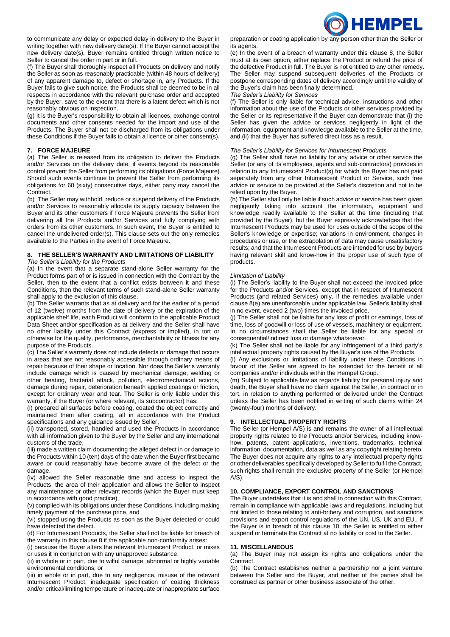

to communicate any delay or expected delay in delivery to the Buyer in writing together with new delivery date(s). If the Buyer cannot accept the new delivery date(s), Buyer remains entitled through written notice to Seller to cancel the order in part or in full.

(f) The Buyer shall thoroughly inspect all Products on delivery and notify the Seller as soon as reasonably practicable (within 48 hours of delivery) of any apparent damage to, defect or shortage in, any Products. If the Buyer fails to give such notice, the Products shall be deemed to be in all respects in accordance with the relevant purchase order and accepted by the Buyer, save to the extent that there is a latent defect which is not reasonably obvious on inspection.

(g) It is the Buyer's responsibility to obtain all licences, exchange control documents and other consents needed for the import and use of the Products. The Buyer shall not be discharged from its obligations under these Conditions if the Buyer fails to obtain a licence or other consent(s).

### **7. FORCE MAJEURE**

(a) The Seller is released from its obligation to deliver the Products and/or Services on the delivery date, if events beyond its reasonable control prevent the Seller from performing its obligations (Force Majeure). Should such events continue to prevent the Seller from performing its obligations for 60 (sixty) consecutive days, either party may cancel the Contract.

(b) The Seller may withhold, reduce or suspend delivery of the Products and/or Services to reasonably allocate its supply capacity between the Buyer and its other customers if Force Majeure prevents the Seller from delivering all the Products and/or Services and fully complying with orders from its other customers. In such event, the Buyer is entitled to cancel the undelivered order(s). This clause sets out the only remedies available to the Parties in the event of Force Majeure.

#### **8. THE SELLER'S WARRANTY AND LIMITATIONS OF LIABILITY** *The Seller's Liability for the Products*

(a) In the event that a separate stand-alone Seller warranty for the Product forms part of or is issued in connection with the Contract by the Seller, then to the extent that a conflict exists between it and these Conditions, then the relevant terms of such stand-alone Seller warranty shall apply to the exclusion of this clause.

(b) The Seller warrants that as at delivery and for the earlier of a period of 12 (twelve) months from the date of delivery or the expiration of the applicable shelf life, each Product will conform to the applicable Product Data Sheet and/or specification as at delivery and the Seller shall have no other liability under this Contract (express or implied), in tort or otherwise for the quality, performance, merchantability or fitness for any purpose of the Products.

(c) The Seller's warranty does not include defects or damage that occurs in areas that are not reasonably accessible through ordinary means of repair because of their shape or location. Nor does the Seller's warranty include damage which is caused by mechanical damage, welding or other heating, bacterial attack, pollution, electromechanical actions, damage during repair, deterioration beneath applied coatings or friction, except for ordinary wear and tear. The Seller is only liable under this warranty, if the Buyer (or where relevant, its subcontractor) has:

(i) prepared all surfaces before coating, coated the object correctly and maintained them after coating, all in accordance with the Product specifications and any guidance issued by Seller,

(ii) transported, stored, handled and used the Products in accordance with all information given to the Buyer by the Seller and any international customs of the trade,

(iii) made a written claim documenting the alleged defect in or damage to the Products within 10 (ten) days of the date when the Buyer first became aware or could reasonably have become aware of the defect or the damage,

(iv) allowed the Seller reasonable time and access to inspect the Products, the area of their application and allows the Seller to inspect any maintenance or other relevant records (which the Buyer must keep in accordance with good practice),

(v) complied with its obligations under these Conditions, including making timely payment of the purchase price, and

(vi) stopped using the Products as soon as the Buyer detected or could have detected the defect.

(d) For Intumescent Products, the Seller shall not be liable for breach of the warranty in this clause 8 if the applicable non-conformity arises:

(i) because the Buyer alters the relevant Intumescent Product, or mixes or uses it in conjunction with any unapproved substance,

(ii) in whole or in part, due to wilful damage, abnormal or highly variable environmental conditions; or

(iii) in whole or in part, due to any negligence, misuse of the relevant Intumescent Product, inadequate specification of coating thickness and/or critical/limiting temperature or inadequate or inappropriate surface

preparation or coating application by any person other than the Seller or its agents.

(e) In the event of a breach of warranty under this clause 8, the Seller must at its own option, either replace the Product or refund the price of the defective Product in full. The Buyer is not entitled to any other remedy. The Seller may suspend subsequent deliveries of the Products or postpone corresponding dates of delivery accordingly until the validity of the Buyer's claim has been finally determined.

*The Seller's Liability for Services*

(f) The Seller is only liable for technical advice, instructions and other information about the use of the Products or other services provided by the Seller or its representative if the Buyer can demonstrate that (i) the Seller has given the advice or services negligently in light of the information, equipment and knowledge available to the Seller at the time, and (ii) that the Buyer has suffered direct loss as a result.

### *The Seller's Liability for Services for Intumescent Products*

(g) The Seller shall have no liability for any advice or other service the Seller (or any of its employees, agents and sub-contractors) provides in relation to any Intumescent Product(s) for which the Buyer has not paid separately from any other Intumescent Product or Service, such free advice or service to be provided at the Seller's discretion and not to be relied upon by the Buyer.

(h) The Seller shall only be liable if such advice or service has been given negligently taking into account the information, equipment and knowledge readily available to the Seller at the time (including that provided by the Buyer), but the Buyer expressly acknowledges that the Intumescent Products may be used for uses outside of the scope of the Seller's knowledge or expertise; variations in environment, changes in procedures or use, or the extrapolation of data may cause unsatisfactory results; and that the Intumescent Products are intended for use by buyers having relevant skill and know-how in the proper use of such type of products.

#### *Limitation of Liability*

(i) The Seller's liability to the Buyer shall not exceed the invoiced price for the Products and/or Services, except that in respect of Intumescent Products (and related Services) only, if the remedies available under clause 8(e) are unenforceable under applicable law, Seller's liability shall in no event, exceed 2 (two) times the invoiced price.

(j) The Seller shall not be liable for any loss of profit or earnings, loss of time, loss of goodwill or loss of use of vessels, machinery or equipment. In no circumstances shall the Seller be liable for any special or consequential/indirect loss or damage whatsoever.

(k) The Seller shall not be liable for any infringement of a third party's intellectual property rights caused by the Buyer's use of the Products.

(l) Any exclusions or limitations of liability under these Conditions in favour of the Seller are agreed to be extended for the benefit of all companies and/or individuals within the Hempel Group.

(m) Subject to applicable law as regards liability for personal injury and death, the Buyer shall have no claim against the Seller, in contract or in tort, in relation to anything performed or delivered under the Contract unless the Seller has been notified in writing of such claims within 24 (twenty-four) months of delivery.

### **9. INTELLECTUAL PROPERTY RIGHTS**

The Seller (or Hempel A/S) is and remains the owner of all intellectual property rights related to the Products and/or Services, including knowhow, patents, patent applications, inventions, trademarks, technical information, documentation, data as well as any copyright relating hereto. The Buyer does not acquire any rights to any intellectual property rights or other deliverables specifically developed by Seller to fulfil the Contract, such rights shall remain the exclusive property of the Seller (or Hempel  $A/S$ ).

# <span id="page-1-0"></span>**10. COMPLIANCE, EXPORT CONTROL AND SANCTIONS**

The Buyer undertakes that it is and shall in connection with this Contract, remain in compliance with applicable laws and regulations, including but not limited to those relating to anti-bribery and corruption, and sanctions provisions and export control regulations of the UN, US, UK and EU.. If the Buyer is in breach of this clause 10, the Seller is entitled to either suspend or terminate the Contract at no liability or cost to the Seller.

#### **11. MISCELLANEOUS**

(a) The Buyer may not assign its rights and obligations under the **Contract.** 

(b) The Contract establishes neither a partnership nor a joint venture between the Seller and the Buyer, and neither of the parties shall be construed as partner or other business associate of the other.